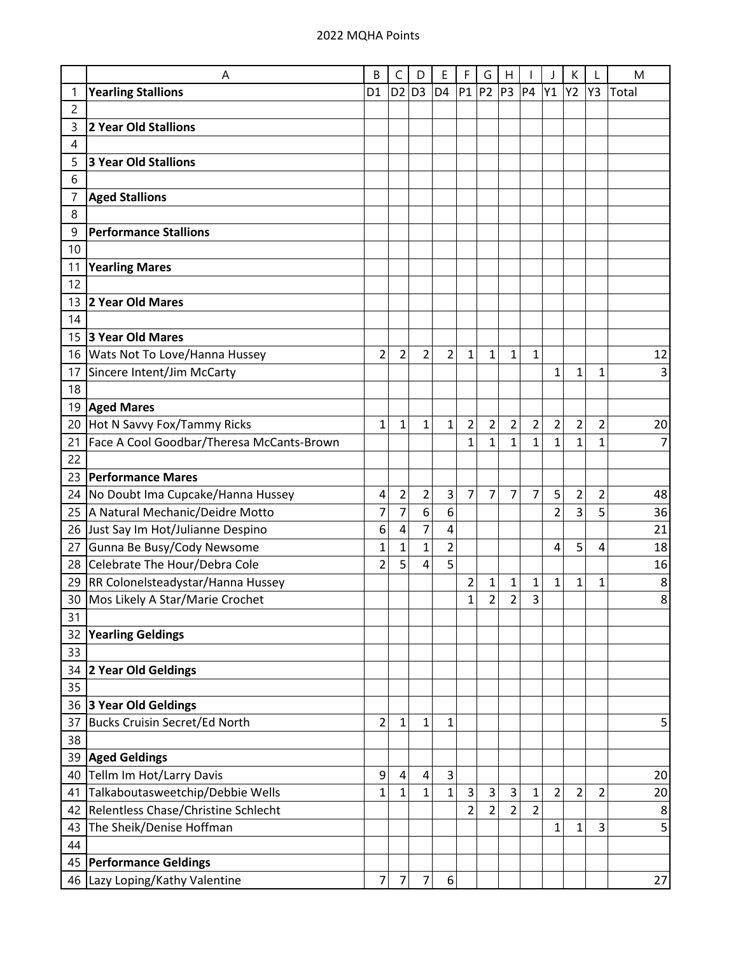|                 | A                                         | B              | C              | D              | E                       | F                   | G              | H                   |                     |                | К                       | L              | M              |
|-----------------|-------------------------------------------|----------------|----------------|----------------|-------------------------|---------------------|----------------|---------------------|---------------------|----------------|-------------------------|----------------|----------------|
| 1               | <b>Yearling Stallions</b>                 | D <sub>1</sub> | D <sub>2</sub> | D <sub>3</sub> | D <sub>4</sub>          | P1                  | P <sub>2</sub> | P <sub>3</sub>      | <b>P4</b>           | Y1             | Y2                      | Y3             | Total          |
| 2               |                                           |                |                |                |                         |                     |                |                     |                     |                |                         |                |                |
| 3               | <b>2 Year Old Stallions</b>               |                |                |                |                         |                     |                |                     |                     |                |                         |                |                |
| 4               |                                           |                |                |                |                         |                     |                |                     |                     |                |                         |                |                |
| 5               | <b>3 Year Old Stallions</b>               |                |                |                |                         |                     |                |                     |                     |                |                         |                |                |
| 6               |                                           |                |                |                |                         |                     |                |                     |                     |                |                         |                |                |
| 7               | <b>Aged Stallions</b>                     |                |                |                |                         |                     |                |                     |                     |                |                         |                |                |
| 8               |                                           |                |                |                |                         |                     |                |                     |                     |                |                         |                |                |
| 9               | <b>Performance Stallions</b>              |                |                |                |                         |                     |                |                     |                     |                |                         |                |                |
| 10              |                                           |                |                |                |                         |                     |                |                     |                     |                |                         |                |                |
| 11              | <b>Yearling Mares</b>                     |                |                |                |                         |                     |                |                     |                     |                |                         |                |                |
| 12              |                                           |                |                |                |                         |                     |                |                     |                     |                |                         |                |                |
| 13              | 2 Year Old Mares                          |                |                |                |                         |                     |                |                     |                     |                |                         |                |                |
| 14              |                                           |                |                |                |                         |                     |                |                     |                     |                |                         |                |                |
| 15 <sup>1</sup> | 3 Year Old Mares                          |                |                |                |                         |                     |                |                     |                     |                |                         |                |                |
| 16              | Wats Not To Love/Hanna Hussey             | $\overline{2}$ | $\overline{2}$ | $\overline{2}$ | 2                       | $\mathbf 1$         | 1              | 1                   | 1                   |                |                         |                | 12             |
| 17              | Sincere Intent/Jim McCarty                |                |                |                |                         |                     |                |                     |                     | 1              | 1                       | 1              | 3              |
| 18              |                                           |                |                |                |                         |                     |                |                     |                     |                |                         |                |                |
| 19              | <b>Aged Mares</b>                         |                |                |                |                         |                     |                |                     |                     |                |                         |                |                |
| 20              | Hot N Savvy Fox/Tammy Ricks               | $\mathbf{1}$   | 1              | 1              | $\mathbf 1$             | 2                   | 2              | $\overline{2}$      | $\overline{2}$      | 2              | 2                       | 2              | 20             |
| 21              | Face A Cool Goodbar/Theresa McCants-Brown |                |                |                |                         | $\overline{1}$      | $\mathbf{1}$   | $\overline{1}$      | $\overline{1}$      | 1              | $\overline{1}$          | $\overline{1}$ | $\overline{7}$ |
| 22              |                                           |                |                |                |                         |                     |                |                     |                     |                |                         |                |                |
| 23              | <b>Performance Mares</b>                  |                |                |                |                         |                     |                |                     |                     |                |                         |                |                |
| 24              | No Doubt Ima Cupcake/Hanna Hussey         | 4              | $\overline{c}$ | $\overline{2}$ | 3                       | 7                   | 7              | 7                   | 7                   | 5              | $\overline{\mathbf{c}}$ | 2              | 48             |
| 25              | A Natural Mechanic/Deidre Motto           | 7              | 7              | 6              | 6                       |                     |                |                     |                     | $\overline{2}$ | 3                       | 5              | 36             |
| 26              | Just Say Im Hot/Julianne Despino          | 6              | 4              | 7              | 4                       |                     |                |                     |                     |                |                         |                | 21             |
| 27              | Gunna Be Busy/Cody Newsome                | $\mathbf{1}$   | 1              | $\mathbf{1}$   | $\overline{c}$          |                     |                |                     |                     | 4              | 5                       | 4              | 18             |
| 28              | Celebrate The Hour/Debra Cole             | $\overline{2}$ | 5              | 4              | 5                       |                     |                |                     |                     |                |                         |                | 16             |
|                 | 29 RR Colonelsteadystar/Hanna Hussey      |                |                |                |                         | 2                   | 1              | 1                   | 1                   | 1              | 1                       | 1              | 8              |
|                 | 30 Mos Likely A Star/Marie Crochet        |                |                |                |                         | 1                   | $\overline{2}$ | $\overline{2}$      | 3                   |                |                         |                | 8              |
| 31              |                                           |                |                |                |                         |                     |                |                     |                     |                |                         |                |                |
| 32              | <b>Yearling Geldings</b>                  |                |                |                |                         |                     |                |                     |                     |                |                         |                |                |
| 33              |                                           |                |                |                |                         |                     |                |                     |                     |                |                         |                |                |
| 34              | 2 Year Old Geldings                       |                |                |                |                         |                     |                |                     |                     |                |                         |                |                |
| 35              |                                           |                |                |                |                         |                     |                |                     |                     |                |                         |                |                |
|                 | 36 3 Year Old Geldings                    |                |                |                |                         |                     |                |                     |                     |                |                         |                |                |
| 37              | <b>Bucks Cruisin Secret/Ed North</b>      | $\overline{2}$ | $\mathbf{1}$   | $\mathbf{1}$   | $\mathbf 1$             |                     |                |                     |                     |                |                         |                | 5              |
| 38              |                                           |                |                |                |                         |                     |                |                     |                     |                |                         |                |                |
| 39              | <b>Aged Geldings</b>                      |                |                |                |                         |                     |                |                     |                     |                |                         |                |                |
| 40              | Tellm Im Hot/Larry Davis                  | 9              | $\pmb{4}$      | 4              | $\overline{\mathbf{3}}$ |                     |                |                     |                     |                |                         |                | 20             |
| 41              | Talkaboutasweetchip/Debbie Wells          | $\overline{1}$ | 1              | 1              | 1                       | 3<br>$\overline{2}$ | 3              | 3<br>$\overline{2}$ | 1<br>$\overline{2}$ | 2              | $\overline{c}$          | $\overline{2}$ | 20             |
| 42              | Relentless Chase/Christine Schlecht       |                |                |                |                         |                     | $\overline{2}$ |                     |                     |                |                         |                | 8              |
| 43<br>44        | The Sheik/Denise Hoffman                  |                |                |                |                         |                     |                |                     |                     | 1              | 1                       | 3              | 5              |
|                 |                                           |                |                |                |                         |                     |                |                     |                     |                |                         |                |                |
| 45              | <b>Performance Geldings</b>               |                |                |                |                         |                     |                |                     |                     |                |                         |                |                |
| 46              | Lazy Loping/Kathy Valentine               | $\overline{7}$ | $\overline{7}$ | $\overline{7}$ | $\boldsymbol{6}$        |                     |                |                     |                     |                |                         |                | 27             |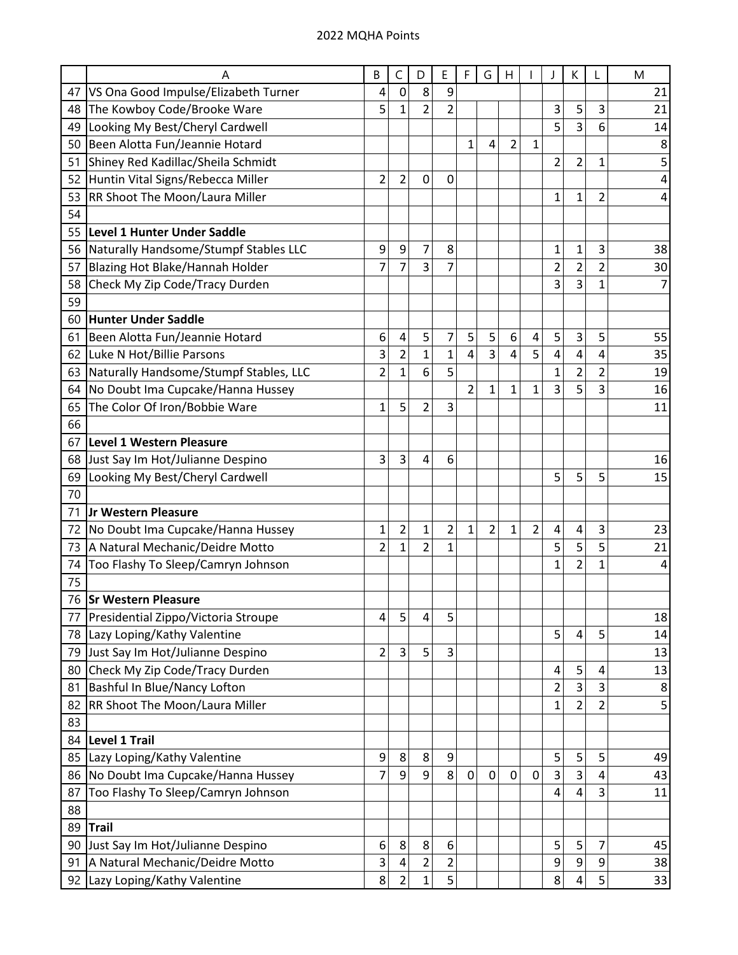|    | Α                                      | В              | C              | D              | E                       | F              | G              | H              |                  | $\mathbf{I}$   | К                       |                | M  |
|----|----------------------------------------|----------------|----------------|----------------|-------------------------|----------------|----------------|----------------|------------------|----------------|-------------------------|----------------|----|
| 47 | VS Ona Good Impulse/Elizabeth Turner   | 4              | $\mathbf 0$    | 8              | 9                       |                |                |                |                  |                |                         |                | 21 |
| 48 | The Kowboy Code/Brooke Ware            | 5              | 1              | $\overline{2}$ | $\overline{\mathbf{c}}$ |                |                |                |                  | 3              | 5                       | 3              | 21 |
| 49 | Looking My Best/Cheryl Cardwell        |                |                |                |                         |                |                |                |                  | 5              | 3                       | 6              | 14 |
| 50 | Been Alotta Fun/Jeannie Hotard         |                |                |                |                         | 1              | 4              | $\overline{2}$ | 1                |                |                         |                | 8  |
| 51 | Shiney Red Kadillac/Sheila Schmidt     |                |                |                |                         |                |                |                |                  | $\overline{2}$ | $\overline{2}$          | 1              | 5  |
| 52 | Huntin Vital Signs/Rebecca Miller      | $\overline{2}$ | $\overline{2}$ | 0              | $\mathbf 0$             |                |                |                |                  |                |                         |                | 4  |
| 53 | RR Shoot The Moon/Laura Miller         |                |                |                |                         |                |                |                |                  | 1              | $\mathbf 1$             | 2              | 4  |
| 54 |                                        |                |                |                |                         |                |                |                |                  |                |                         |                |    |
| 55 | Level 1 Hunter Under Saddle            |                |                |                |                         |                |                |                |                  |                |                         |                |    |
| 56 | Naturally Handsome/Stumpf Stables LLC  | 9              | 9              | $\overline{7}$ | 8                       |                |                |                |                  | 1              | 1                       | 3              | 38 |
| 57 | Blazing Hot Blake/Hannah Holder        | $\overline{7}$ | 7              | 3              | 7                       |                |                |                |                  | $\overline{2}$ | $\overline{\mathbf{c}}$ | $\overline{2}$ | 30 |
| 58 | Check My Zip Code/Tracy Durden         |                |                |                |                         |                |                |                |                  | 3              | 3                       | $\overline{1}$ | 7  |
| 59 |                                        |                |                |                |                         |                |                |                |                  |                |                         |                |    |
| 60 | <b>Hunter Under Saddle</b>             |                |                |                |                         |                |                |                |                  |                |                         |                |    |
| 61 | Been Alotta Fun/Jeannie Hotard         | 6              | 4              | 5              | 7                       | 5              | 5              | 6              | 4                | 5              | 3                       | 5              | 55 |
| 62 | Luke N Hot/Billie Parsons              | 3              | $\overline{2}$ | $\mathbf{1}$   | $\mathbf 1$             | 4              | 3              | 4              | 5                | 4              | 4                       | 4              | 35 |
| 63 | Naturally Handsome/Stumpf Stables, LLC | $\overline{2}$ | 1              | 6              | 5                       |                |                |                |                  | 1              | 2                       | 2              | 19 |
| 64 | No Doubt Ima Cupcake/Hanna Hussey      |                |                |                |                         | $\overline{2}$ | $\mathbf{1}$   | $\overline{1}$ | $\overline{1}$   | 3              | 5                       | 3              | 16 |
| 65 | The Color Of Iron/Bobbie Ware          | $\mathbf{1}$   | 5              | $\overline{2}$ | 3                       |                |                |                |                  |                |                         |                | 11 |
| 66 |                                        |                |                |                |                         |                |                |                |                  |                |                         |                |    |
| 67 | <b>Level 1 Western Pleasure</b>        |                |                |                |                         |                |                |                |                  |                |                         |                |    |
| 68 | Just Say Im Hot/Julianne Despino       | 3              | 3              | 4              | 6                       |                |                |                |                  |                |                         |                | 16 |
| 69 | Looking My Best/Cheryl Cardwell        |                |                |                |                         |                |                |                |                  | 5              | 5                       | 5              | 15 |
| 70 |                                        |                |                |                |                         |                |                |                |                  |                |                         |                |    |
| 71 | Jr Western Pleasure                    |                |                |                |                         |                |                |                |                  |                |                         |                |    |
| 72 | No Doubt Ima Cupcake/Hanna Hussey      | 1              | $\overline{2}$ | $\mathbf 1$    | 2                       | 1              | $\overline{2}$ | 1              | 2                | 4              | 4                       | 3              | 23 |
| 73 | A Natural Mechanic/Deidre Motto        | $\overline{2}$ | 1              | $\overline{2}$ | 1                       |                |                |                |                  | 5              | 5                       | 5              | 21 |
| 74 | Too Flashy To Sleep/Camryn Johnson     |                |                |                |                         |                |                |                |                  | 1              | $\overline{2}$          | $\overline{1}$ | 4  |
| 75 |                                        |                |                |                |                         |                |                |                |                  |                |                         |                |    |
| 76 | <b>Sr Western Pleasure</b>             |                |                |                |                         |                |                |                |                  |                |                         |                |    |
| 77 | Presidential Zippo/Victoria Stroupe    | 4              | 5              | 4              | 5                       |                |                |                |                  |                |                         |                | 18 |
| 78 | Lazy Loping/Kathy Valentine            |                |                |                |                         |                |                |                |                  | 5              | 4                       | 5              | 14 |
| 79 | Just Say Im Hot/Julianne Despino       | $\overline{2}$ | 3              | 5              | 3                       |                |                |                |                  |                |                         |                | 13 |
| 80 | Check My Zip Code/Tracy Durden         |                |                |                |                         |                |                |                |                  | 4              | 5                       | 4              | 13 |
| 81 | Bashful In Blue/Nancy Lofton           |                |                |                |                         |                |                |                |                  | $\overline{2}$ | 3                       | 3              | 8  |
| 82 | RR Shoot The Moon/Laura Miller         |                |                |                |                         |                |                |                |                  | 1              | $\overline{2}$          | $\overline{2}$ | 5  |
| 83 |                                        |                |                |                |                         |                |                |                |                  |                |                         |                |    |
| 84 | <b>Level 1 Trail</b>                   |                |                |                |                         |                |                |                |                  |                |                         |                |    |
| 85 | Lazy Loping/Kathy Valentine            | 9              | 8              | 8              | $\boldsymbol{9}$        |                |                |                |                  | 5              | 5                       | 5              | 49 |
| 86 | No Doubt Ima Cupcake/Hanna Hussey      | 7              | 9              | 9              | 8                       | 0              | 0              | $\mathbf 0$    | $\boldsymbol{0}$ | 3              | 3                       | 4              | 43 |
| 87 | Too Flashy To Sleep/Camryn Johnson     |                |                |                |                         |                |                |                |                  | 4              | 4                       | 3              | 11 |
| 88 |                                        |                |                |                |                         |                |                |                |                  |                |                         |                |    |
| 89 | <b>Trail</b>                           |                |                |                |                         |                |                |                |                  |                |                         |                |    |
| 90 | Just Say Im Hot/Julianne Despino       | 6              | 8              | 8              | $\boldsymbol{6}$        |                |                |                |                  | 5              | 5                       | 7              | 45 |
| 91 | A Natural Mechanic/Deidre Motto        | 3              | 4              | $\overline{2}$ | $\overline{2}$          |                |                |                |                  | 9              | $\overline{9}$          | 9              | 38 |
| 92 | Lazy Loping/Kathy Valentine            | 8              | $\overline{2}$ | $\mathbf{1}$   | 5                       |                |                |                |                  | 8              | 4                       | 5              | 33 |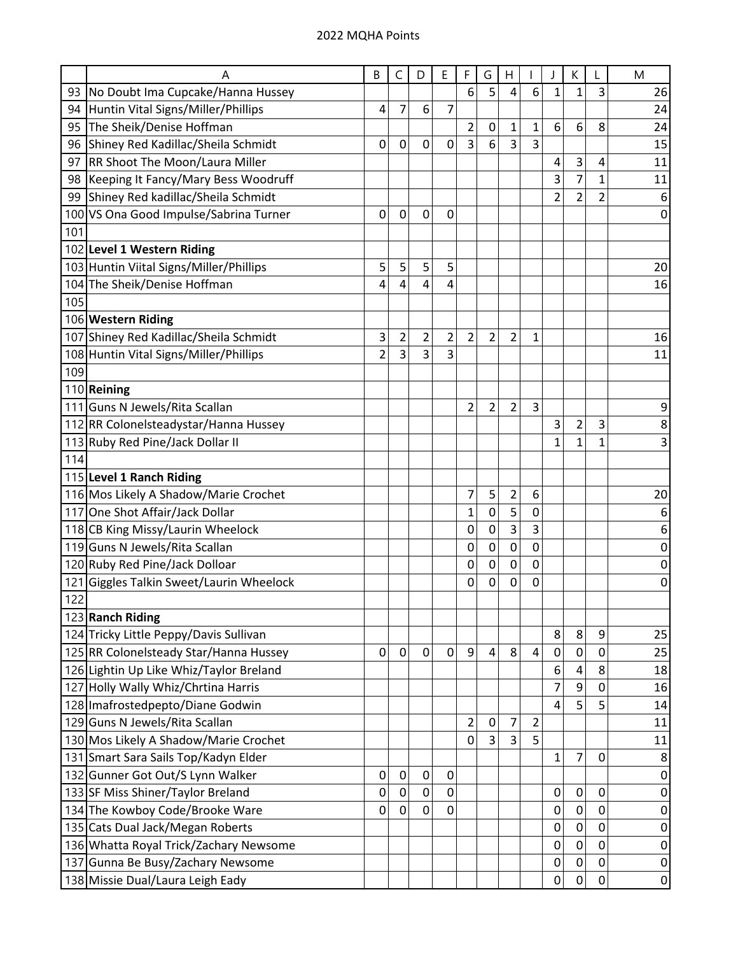|     | Α                                        | B              | C              | D              | E | F              | G              | H              |   | J              | K              |                | M                |
|-----|------------------------------------------|----------------|----------------|----------------|---|----------------|----------------|----------------|---|----------------|----------------|----------------|------------------|
|     | 93 No Doubt Ima Cupcake/Hanna Hussey     |                |                |                |   | 6              | 5              | 4              | 6 | $\mathbf{1}$   | 1              | 3              | 26               |
| 94  | Huntin Vital Signs/Miller/Phillips       | 4              | 7              | 6              | 7 |                |                |                |   |                |                |                | 24               |
| 95  | The Sheik/Denise Hoffman                 |                |                |                |   | 2              | 0              | 1              | 1 | 6              | 6              | 8              | 24               |
| 96  | Shiney Red Kadillac/Sheila Schmidt       | 0              | $\overline{0}$ | 0              | 0 | 3              | 6              | 3              | 3 |                |                |                | 15               |
|     | 97 RR Shoot The Moon/Laura Miller        |                |                |                |   |                |                |                |   | 4              | 3              | 4              | 11               |
|     | 98 Keeping It Fancy/Mary Bess Woodruff   |                |                |                |   |                |                |                |   | 3              | 7              | 1              | 11               |
|     | 99 Shiney Red kadillac/Sheila Schmidt    |                |                |                |   |                |                |                |   | $\overline{2}$ | $\overline{2}$ | $\overline{2}$ | 6                |
|     | 100 VS Ona Good Impulse/Sabrina Turner   | 0              | $\mathbf 0$    | 0              | 0 |                |                |                |   |                |                |                | 0                |
| 101 |                                          |                |                |                |   |                |                |                |   |                |                |                |                  |
|     | 102 Level 1 Western Riding               |                |                |                |   |                |                |                |   |                |                |                |                  |
|     | 103 Huntin Viital Signs/Miller/Phillips  | 5              | 5              | 5              | 5 |                |                |                |   |                |                |                | 20               |
|     | 104 The Sheik/Denise Hoffman             | 4              | 4              | 4              | 4 |                |                |                |   |                |                |                | 16               |
| 105 |                                          |                |                |                |   |                |                |                |   |                |                |                |                  |
|     | 106 Western Riding                       |                |                |                |   |                |                |                |   |                |                |                |                  |
|     | 107 Shiney Red Kadillac/Sheila Schmidt   | 3              | $\overline{2}$ | $\overline{2}$ | 2 | $\overline{2}$ | $\overline{2}$ | 2              | 1 |                |                |                | 16               |
|     | 108 Huntin Vital Signs/Miller/Phillips   | $\overline{2}$ | 3              | 3              | 3 |                |                |                |   |                |                |                | 11               |
| 109 |                                          |                |                |                |   |                |                |                |   |                |                |                |                  |
|     | 110 Reining                              |                |                |                |   |                |                |                |   |                |                |                |                  |
|     | 111 Guns N Jewels/Rita Scallan           |                |                |                |   | 2              | 2              | $\overline{c}$ | 3 |                |                |                | 9                |
|     | 112 RR Colonelsteadystar/Hanna Hussey    |                |                |                |   |                |                |                |   | 3              | 2              | 3              | 8                |
| 113 | Ruby Red Pine/Jack Dollar II             |                |                |                |   |                |                |                |   | $\mathbf{1}$   | 1              | 1              | 3                |
| 114 |                                          |                |                |                |   |                |                |                |   |                |                |                |                  |
|     | 115 Level 1 Ranch Riding                 |                |                |                |   |                |                |                |   |                |                |                |                  |
|     | 116 Mos Likely A Shadow/Marie Crochet    |                |                |                |   | 7              | 5              | $\overline{c}$ | 6 |                |                |                | 20               |
|     | 117 One Shot Affair/Jack Dollar          |                |                |                |   | 1              | 0              | 5              | 0 |                |                |                | 6                |
|     | 118 CB King Missy/Laurin Wheelock        |                |                |                |   | 0              | $\mathbf 0$    | 3              | 3 |                |                |                | 6                |
|     | 119 Guns N Jewels/Rita Scallan           |                |                |                |   | 0              | $\mathbf 0$    | 0              | 0 |                |                |                | $\mathbf 0$      |
|     | 120 Ruby Red Pine/Jack Dolloar           |                |                |                |   | 0              | 0              | 0              | 0 |                |                |                | 0                |
|     | 121 Giggles Talkin Sweet/Laurin Wheelock |                |                |                |   | 0              | $\mathbf 0$    | 0              | 0 |                |                |                | $\mathbf 0$      |
| 122 |                                          |                |                |                |   |                |                |                |   |                |                |                |                  |
|     | 123 Ranch Riding                         |                |                |                |   |                |                |                |   |                |                |                |                  |
|     | 124 Tricky Little Peppy/Davis Sullivan   |                |                |                |   |                |                |                |   | 8              | 8              | 9              | 25               |
|     | 125 RR Colonelsteady Star/Hanna Hussey   | 0              | $\mathbf 0$    | 0              | 0 | 9              | 4              | 8              | 4 | $\mathbf 0$    | 0              | 0              | 25               |
|     | 126 Lightin Up Like Whiz/Taylor Breland  |                |                |                |   |                |                |                |   | 6              | 4              | 8              | 18               |
|     | 127 Holly Wally Whiz/Chrtina Harris      |                |                |                |   |                |                |                |   | 7              | 9              | 0              | 16               |
|     | 128 Imafrostedpepto/Diane Godwin         |                |                |                |   |                |                |                |   | 4              | 5              | 5              | 14               |
|     | 129 Guns N Jewels/Rita Scallan           |                |                |                |   | 2              | $\mathbf 0$    | 7              | 2 |                |                |                | 11               |
|     | 130 Mos Likely A Shadow/Marie Crochet    |                |                |                |   | 0              | 3              | 3              | 5 |                |                |                | 11               |
|     | 131 Smart Sara Sails Top/Kadyn Elder     |                |                |                |   |                |                |                |   | $\mathbf{1}$   | 7              | 0              | 8                |
|     | 132 Gunner Got Out/S Lynn Walker         | 0              | $\pmb{0}$      | 0              | 0 |                |                |                |   |                |                |                | $\boldsymbol{0}$ |
|     | 133 SF Miss Shiner/Taylor Breland        | 0              | $\pmb{0}$      | 0              | 0 |                |                |                |   | 0              | 0              | 0              | 0                |
|     | 134 The Kowboy Code/Brooke Ware          | $\mathbf 0$    | $\mathbf 0$    | 0              | 0 |                |                |                |   | $\pmb{0}$      | $\mathbf 0$    | $\mathbf 0$    | $\pmb{0}$        |
|     | 135 Cats Dual Jack/Megan Roberts         |                |                |                |   |                |                |                |   | 0              | 0              | 0              | $\boldsymbol{0}$ |
|     | 136 Whatta Royal Trick/Zachary Newsome   |                |                |                |   |                |                |                |   | 0              | $\mathbf 0$    | 0              | 0                |
|     | 137 Gunna Be Busy/Zachary Newsome        |                |                |                |   |                |                |                |   | 0              | 0              | 0              | $\pmb{0}$        |
|     | 138 Missie Dual/Laura Leigh Eady         |                |                |                |   |                |                |                |   | $\pmb{0}$      | $\mathsf 0$    | 0              | $\pmb{0}$        |